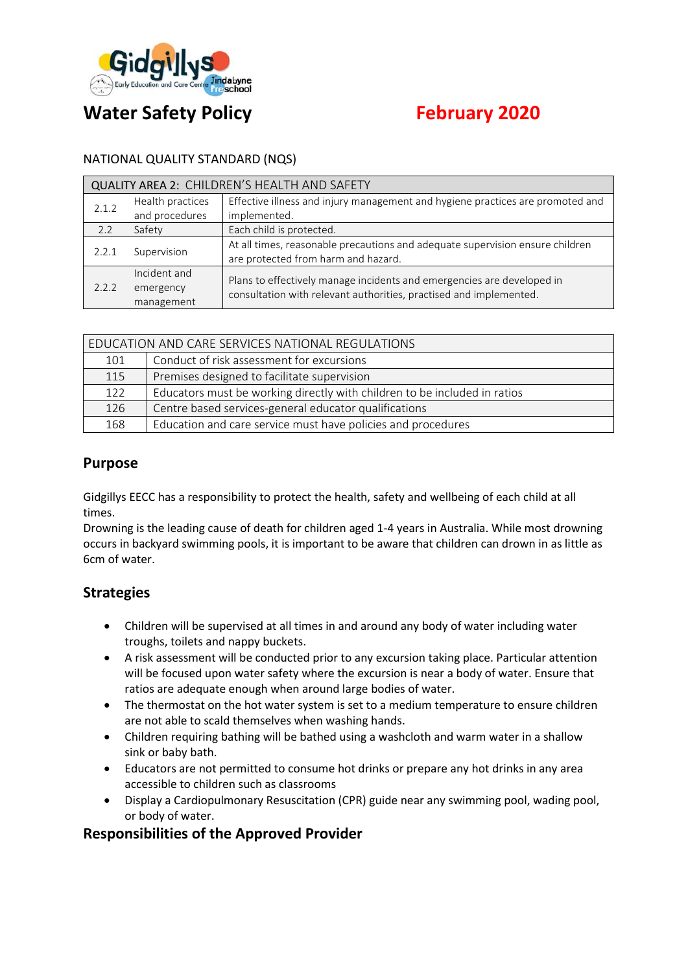

# **Water Safety Policy Concrete February 2020**

#### NATIONAL QUALITY STANDARD (NQS)

| <b>QUALITY AREA 2: CHILDREN'S HEALTH AND SAFETY</b> |                                         |                                                                                                                                              |  |  |
|-----------------------------------------------------|-----------------------------------------|----------------------------------------------------------------------------------------------------------------------------------------------|--|--|
| 2.1.2                                               | Health practices<br>and procedures      | Effective illness and injury management and hygiene practices are promoted and<br>implemented.                                               |  |  |
| 2.2                                                 | Safety                                  | Each child is protected.                                                                                                                     |  |  |
| 2.2.1                                               | Supervision                             | At all times, reasonable precautions and adequate supervision ensure children<br>are protected from harm and hazard.                         |  |  |
| 2.2.2                                               | Incident and<br>emergency<br>management | Plans to effectively manage incidents and emergencies are developed in<br>consultation with relevant authorities, practised and implemented. |  |  |

| EDUCATION AND CARE SERVICES NATIONAL REGULATIONS |                                                                           |  |  |  |
|--------------------------------------------------|---------------------------------------------------------------------------|--|--|--|
| 101                                              | Conduct of risk assessment for excursions                                 |  |  |  |
| 115                                              | Premises designed to facilitate supervision                               |  |  |  |
| 122                                              | Educators must be working directly with children to be included in ratios |  |  |  |
| 126                                              | Centre based services-general educator qualifications                     |  |  |  |
| 168                                              | Education and care service must have policies and procedures              |  |  |  |

## **Purpose**

Gidgillys EECC has a responsibility to protect the health, safety and wellbeing of each child at all times.

Drowning is the leading cause of death for children aged 1-4 years in Australia. While most drowning occurs in backyard swimming pools, it is important to be aware that children can drown in as little as 6cm of water.

## **Strategies**

- Children will be supervised at all times in and around any body of water including water troughs, toilets and nappy buckets.
- A risk assessment will be conducted prior to any excursion taking place. Particular attention will be focused upon water safety where the excursion is near a body of water. Ensure that ratios are adequate enough when around large bodies of water.
- The thermostat on the hot water system is set to a medium temperature to ensure children are not able to scald themselves when washing hands.
- Children requiring bathing will be bathed using a washcloth and warm water in a shallow sink or baby bath.
- Educators are not permitted to consume hot drinks or prepare any hot drinks in any area accessible to children such as classrooms
- Display a Cardiopulmonary Resuscitation (CPR) guide near any swimming pool, wading pool, or body of water.

## **Responsibilities of the Approved Provider**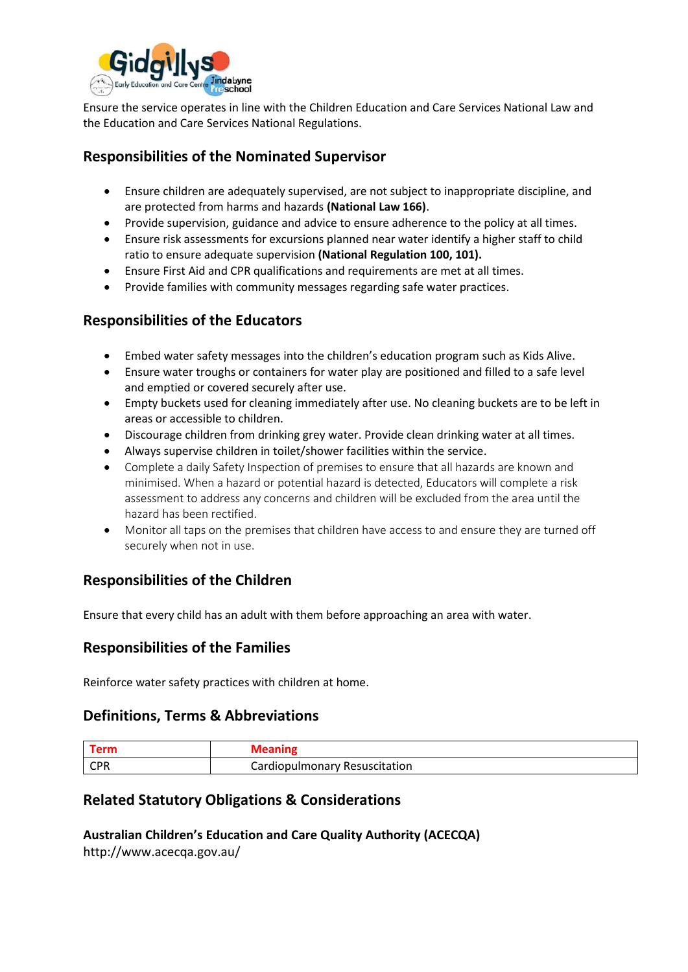

Ensure the service operates in line with the Children Education and Care Services National Law and the Education and Care Services National Regulations.

## **Responsibilities of the Nominated Supervisor**

- Ensure children are adequately supervised, are not subject to inappropriate discipline, and are protected from harms and hazards **(National Law 166)**.
- Provide supervision, guidance and advice to ensure adherence to the policy at all times.
- Ensure risk assessments for excursions planned near water identify a higher staff to child ratio to ensure adequate supervision **(National Regulation 100, 101).**
- Ensure First Aid and CPR qualifications and requirements are met at all times.
- Provide families with community messages regarding safe water practices.

## **Responsibilities of the Educators**

- Embed water safety messages into the children's education program such as Kids Alive.
- Ensure water troughs or containers for water play are positioned and filled to a safe level and emptied or covered securely after use.
- Empty buckets used for cleaning immediately after use. No cleaning buckets are to be left in areas or accessible to children.
- Discourage children from drinking grey water. Provide clean drinking water at all times.
- Always supervise children in toilet/shower facilities within the service.
- Complete a daily Safety Inspection of premises to ensure that all hazards are known and minimised. When a hazard or potential hazard is detected, Educators will complete a risk assessment to address any concerns and children will be excluded from the area until the hazard has been rectified.
- Monitor all taps on the premises that children have access to and ensure they are turned off securely when not in use.

## **Responsibilities of the Children**

Ensure that every child has an adult with them before approaching an area with water.

## **Responsibilities of the Families**

Reinforce water safety practices with children at home.

## **Definitions, Terms & Abbreviations**

| CDD<br>-UF N | Cardiopulmonary Resuscitation |
|--------------|-------------------------------|

## **Related Statutory Obligations & Considerations**

**Australian Children's Education and Care Quality Authority (ACECQA)** http://www.acecqa.gov.au/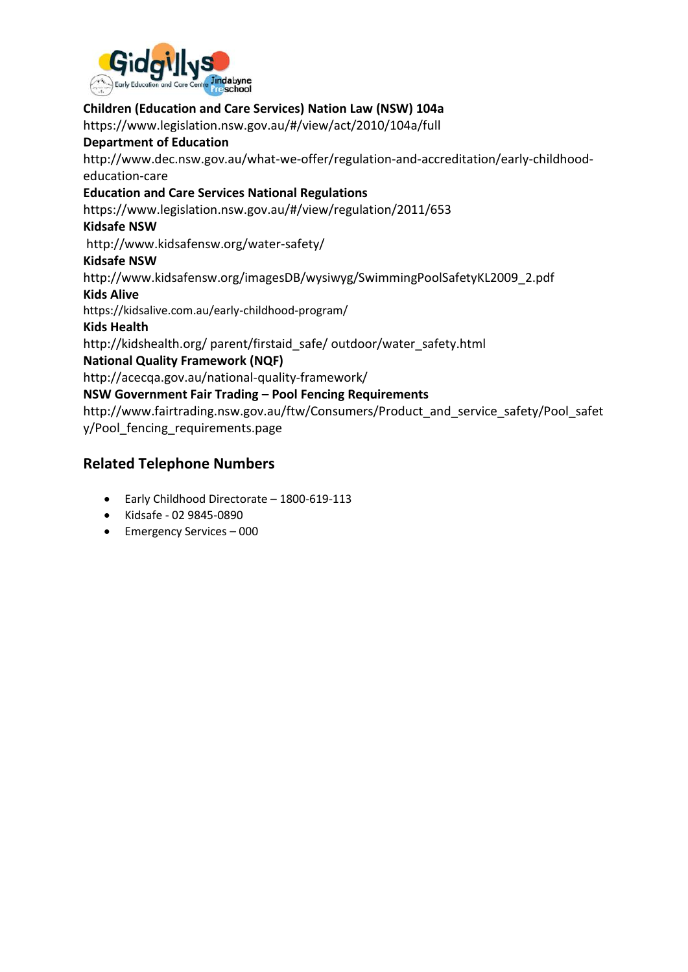

### **Children (Education and Care Services) Nation Law (NSW) 104a**

https://www.legislation.nsw.gov.au/#/view/act/2010/104a/full

#### **Department of Education**

http://www.dec.nsw.gov.au/what-we-offer/regulation-and-accreditation/early-childhoodeducation-care

### **Education and Care Services National Regulations**

https://www.legislation.nsw.gov.au/#/view/regulation/2011/653

#### **Kidsafe NSW**

http://www.kidsafensw.org/water-safety/

#### **Kidsafe NSW**

http://www.kidsafensw.org/imagesDB/wysiwyg/SwimmingPoolSafetyKL2009\_2.pdf

#### **Kids Alive**

https://kidsalive.com.au/early-childhood-program/

#### **Kids Health**

http://kidshealth.org/ parent/firstaid\_safe/ outdoor/water\_safety.html

### **National Quality Framework (NQF)**

http://acecqa.gov.au/national-quality-framework/

### **NSW Government Fair Trading – Pool Fencing Requirements**

http://www.fairtrading.nsw.gov.au/ftw/Consumers/Product\_and\_service\_safety/Pool\_safet y/Pool\_fencing\_requirements.page

## **Related Telephone Numbers**

- Early Childhood Directorate 1800-619-113
- Kidsafe 02 9845-0890
- Emergency Services 000